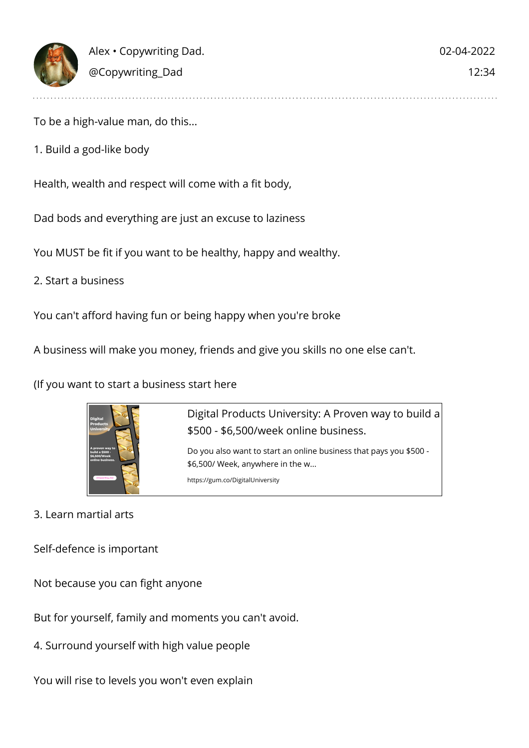

To be a high-value man, do this...

1. Build a god-like body

Health, wealth and respect will come with a fit body,

Dad bods and everything are just an excuse to laziness

You MUST be fit if you want to be healthy, happy and wealthy.

2. Start a business

You can't afford having fun or being happy when you're broke

A business will make you money, friends and give you skills no one else can't.

(If you want to start a business start here



Digital Products University: A Proven way to build a \$500 - \$6,500/week online business. Do you also want to start an online business that pays you \$500 -

\$6,500/ Week, anywhere in the w... https://gum.co/DigitalUniversity

3. Learn martial arts

Self-defence is important

Not because you can fight anyone

But for yourself, family and moments you can't avoid.

4. Surround yourself with high value people

You will rise to levels you won't even explain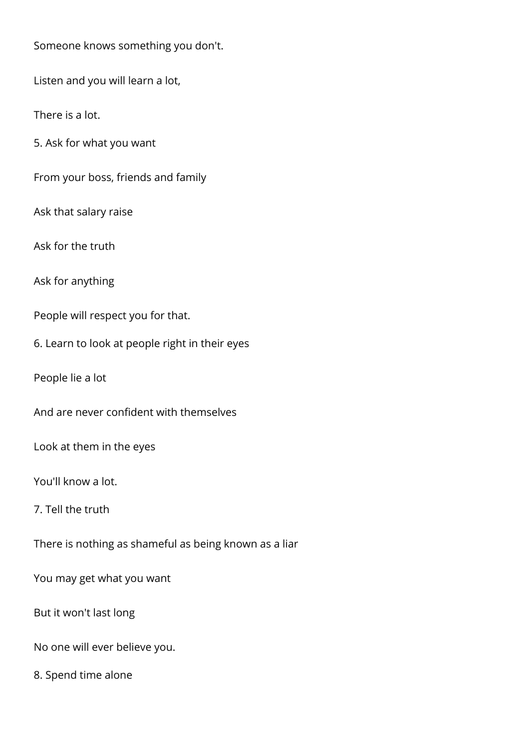Someone knows something you don't.

Listen and you will learn a lot,

There is a lot.

5. Ask for what you want

From your boss, friends and family

Ask that salary raise

Ask for the truth

Ask for anything

People will respect you for that.

6. Learn to look at people right in their eyes

People lie a lot

And are never confident with themselves

Look at them in the eyes

You'll know a lot.

7. Tell the truth

There is nothing as shameful as being known as a liar

You may get what you want

But it won't last long

No one will ever believe you.

8. Spend time alone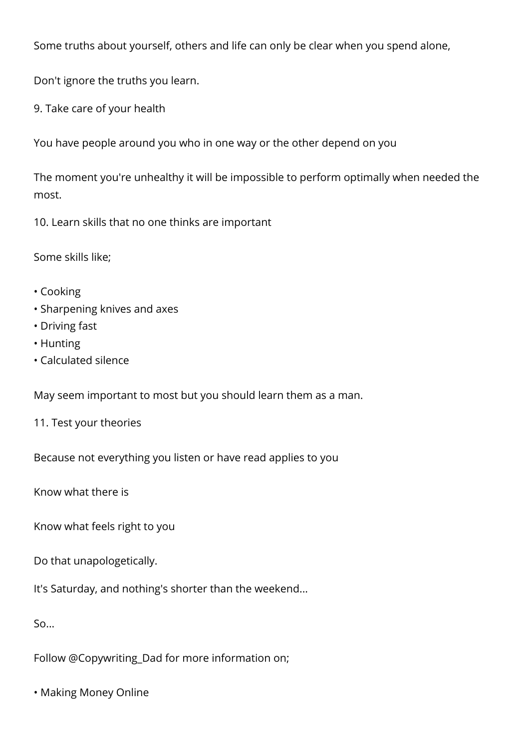Some truths about yourself, others and life can only be clear when you spend alone,

Don't ignore the truths you learn.

9. Take care of your health

You have people around you who in one way or the other depend on you

The moment you're unhealthy it will be impossible to perform optimally when needed the most.

10. Learn skills that no one thinks are important

Some skills like;

- Cooking
- Sharpening knives and axes
- Driving fast
- Hunting
- Calculated silence

May seem important to most but you should learn them as a man.

11. Test your theories

Because not everything you listen or have read applies to you

Know what there is

Know what feels right to you

Do that unapologetically.

It's Saturday, and nothing's shorter than the weekend...

So...

Follow @Copywriting\_Dad for more information on;

• Making Money Online